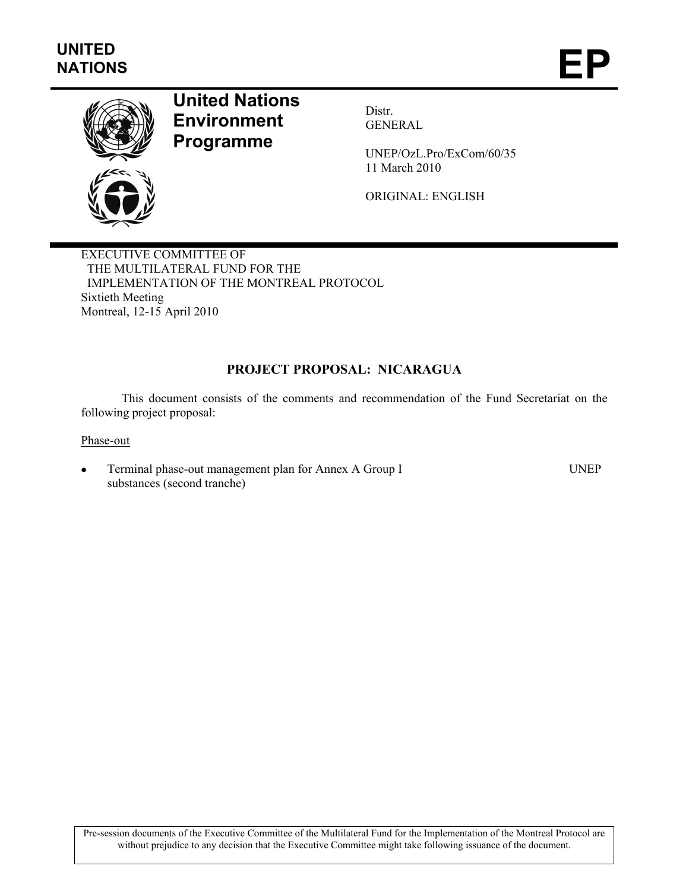

# **United Nations Environment Programme**

Distr. GENERAL

UNEP/OzL.Pro/ExCom/60/35 11 March 2010

ORIGINAL: ENGLISH

EXECUTIVE COMMITTEE OF THE MULTILATERAL FUND FOR THE IMPLEMENTATION OF THE MONTREAL PROTOCOL Sixtieth Meeting Montreal, 12-15 April 2010

# **PROJECT PROPOSAL: NICARAGUA**

This document consists of the comments and recommendation of the Fund Secretariat on the following project proposal:

Phase-out

• Terminal phase-out management plan for Annex A Group I substances (second tranche)

UNEP

Pre-session documents of the Executive Committee of the Multilateral Fund for the Implementation of the Montreal Protocol are without prejudice to any decision that the Executive Committee might take following issuance of the document.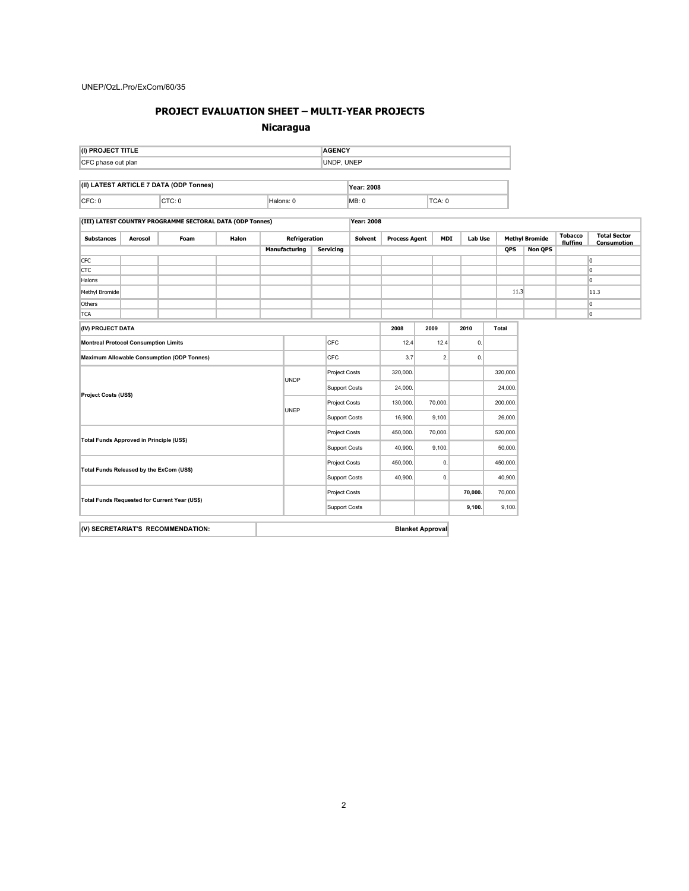#### **PROJECT EVALUATION SHEET – MULTI-YEAR PROJECTS**

#### **Nicaragua**

| (I) PROJECT TITLE  | <b>AGENCY</b> |
|--------------------|---------------|
| CFC phase out plan | UNDP, UNEP    |
|                    |               |

| $(II)$ L | <b>ARTICLE 7 DATA (ODP Tonnes)</b> | Year: 2008 |        |      |  |
|----------|------------------------------------|------------|--------|------|--|
| CFC:     |                                    | Halons:    | IMB: 0 | TCA: |  |

#### **(III) LATEST COUNTRY PROGRAMME SECTORAL DATA (ODP Tonnes) Year: 2008**

| <b>Substances</b>                                 | Aerosol | Foam | Halon | Refrigeration        |                      |                      | <b>Solvent</b> | <b>Process Agent</b> |         | <b>MDI</b> | Lab Use  |              | <b>Methyl Bromide</b> |          | <b>Total Sector</b><br>Consumption |
|---------------------------------------------------|---------|------|-------|----------------------|----------------------|----------------------|----------------|----------------------|---------|------------|----------|--------------|-----------------------|----------|------------------------------------|
|                                                   |         |      |       |                      | Manufacturing        | <b>Servicing</b>     |                |                      |         |            |          | <b>QPS</b>   | <b>Non QPS</b>        | fluffing |                                    |
| <b>CFC</b>                                        |         |      |       |                      |                      |                      |                |                      |         |            |          |              |                       |          | $\overline{0}$                     |
| <b>CTC</b>                                        |         |      |       |                      |                      |                      |                |                      |         |            |          |              |                       |          | l0                                 |
| Halons                                            |         |      |       |                      |                      |                      |                |                      |         |            |          |              |                       |          | $\overline{0}$                     |
| Methyl Bromide                                    |         |      |       |                      |                      |                      |                |                      |         |            |          | 11.3         |                       |          | 11.3                               |
| Others                                            |         |      |       |                      |                      |                      |                |                      |         |            |          |              |                       |          | 0                                  |
| <b>TCA</b>                                        |         |      |       |                      |                      |                      |                |                      |         |            |          |              |                       |          | 0                                  |
| (IV) PROJECT DATA                                 |         |      |       |                      |                      |                      |                | 2008                 | 2009    |            | 2010     | <b>Total</b> |                       |          |                                    |
| <b>Montreal Protocol Consumption Limits</b>       |         |      |       |                      |                      | CFC                  |                | 12.4                 |         | 12.4       | 0.       |              |                       |          |                                    |
| <b>Maximum Allowable Consumption (ODP Tonnes)</b> |         |      |       |                      | CFC                  |                      | 3.7            |                      | 2.      | 0.         |          |              |                       |          |                                    |
| <b>Project Costs (US\$)</b>                       |         |      |       |                      |                      | Project Costs        |                |                      |         | 320,000.   |          |              |                       |          |                                    |
|                                                   |         |      |       | <b>UNDP</b>          | <b>Support Costs</b> |                      | 24,000.        |                      |         |            | 24,000.  |              |                       |          |                                    |
|                                                   |         |      |       |                      |                      | <b>Project Costs</b> |                |                      | 70,000. |            | 200,000. |              |                       |          |                                    |
|                                                   |         |      |       | UNEP                 |                      | <b>Support Costs</b> |                |                      | 9,100.  |            | 26,000.  |              |                       |          |                                    |
|                                                   |         |      |       |                      | Project Costs        |                      | 450,000.       |                      | 70,000. |            | 520,000. |              |                       |          |                                    |
| Total Funds Approved in Principle (US\$)          |         |      |       |                      |                      | <b>Support Costs</b> |                | 40,900.              | 9,100.  |            |          | 50,000.      |                       |          |                                    |
| Total Funds Released by the ExCom (US\$)          |         |      |       |                      | Project Costs        |                      | 450,000.       |                      | 0.      |            | 450,000. |              |                       |          |                                    |
|                                                   |         |      |       | Support Costs        |                      | 40,900.              |                | 0.                   |         | 40,900.    |          |              |                       |          |                                    |
| Total Funds Requested for Current Year (US\$)     |         |      |       | Project Costs        |                      |                      |                |                      | 70,000. | 70,000.    |          |              |                       |          |                                    |
|                                                   |         |      |       | <b>Support Costs</b> |                      |                      |                |                      | 9,100.  | 9,100.     |          |              |                       |          |                                    |

**(V) SECRETARIAT'S RECOMMENDATION: Blanket Approval**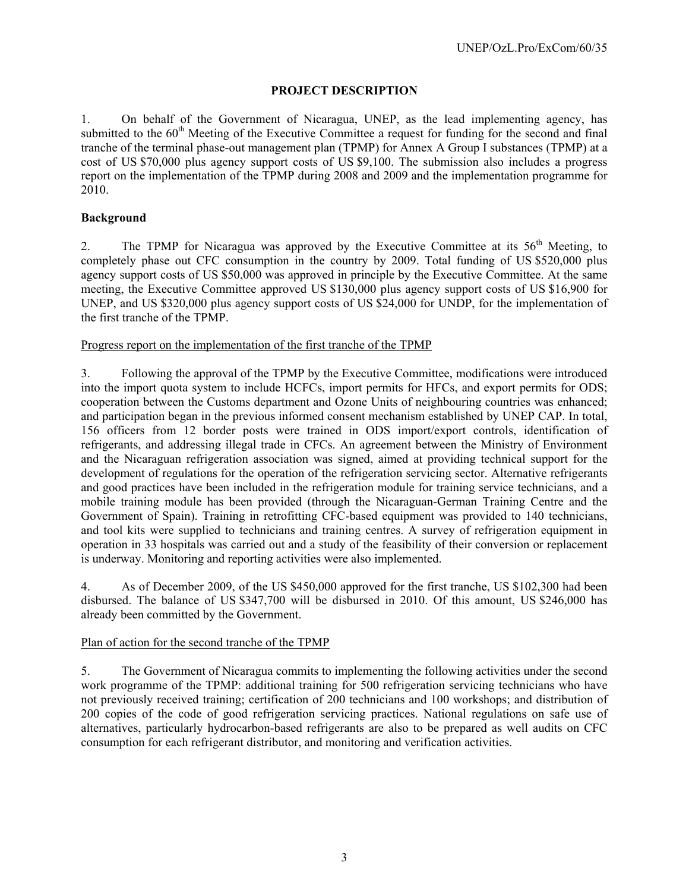# **PROJECT DESCRIPTION**

1. On behalf of the Government of Nicaragua, UNEP, as the lead implementing agency, has submitted to the 60<sup>th</sup> Meeting of the Executive Committee a request for funding for the second and final tranche of the terminal phase-out management plan (TPMP) for Annex A Group I substances (TPMP) at a cost of US \$70,000 plus agency support costs of US \$9,100. The submission also includes a progress report on the implementation of the TPMP during 2008 and 2009 and the implementation programme for 2010.

# **Background**

2. The TPMP for Nicaragua was approved by the Executive Committee at its  $56<sup>th</sup>$  Meeting, to completely phase out CFC consumption in the country by 2009. Total funding of US \$520,000 plus agency support costs of US \$50,000 was approved in principle by the Executive Committee. At the same meeting, the Executive Committee approved US \$130,000 plus agency support costs of US \$16,900 for UNEP, and US \$320,000 plus agency support costs of US \$24,000 for UNDP, for the implementation of the first tranche of the TPMP.

## Progress report on the implementation of the first tranche of the TPMP

3. Following the approval of the TPMP by the Executive Committee, modifications were introduced into the import quota system to include HCFCs, import permits for HFCs, and export permits for ODS; cooperation between the Customs department and Ozone Units of neighbouring countries was enhanced; and participation began in the previous informed consent mechanism established by UNEP CAP. In total, 156 officers from 12 border posts were trained in ODS import/export controls, identification of refrigerants, and addressing illegal trade in CFCs. An agreement between the Ministry of Environment and the Nicaraguan refrigeration association was signed, aimed at providing technical support for the development of regulations for the operation of the refrigeration servicing sector. Alternative refrigerants and good practices have been included in the refrigeration module for training service technicians, and a mobile training module has been provided (through the Nicaraguan-German Training Centre and the Government of Spain). Training in retrofitting CFC-based equipment was provided to 140 technicians, and tool kits were supplied to technicians and training centres. A survey of refrigeration equipment in operation in 33 hospitals was carried out and a study of the feasibility of their conversion or replacement is underway. Monitoring and reporting activities were also implemented.

4. As of December 2009, of the US \$450,000 approved for the first tranche, US \$102,300 had been disbursed. The balance of US \$347,700 will be disbursed in 2010. Of this amount, US \$246,000 has already been committed by the Government.

## Plan of action for the second tranche of the TPMP

5. The Government of Nicaragua commits to implementing the following activities under the second work programme of the TPMP: additional training for 500 refrigeration servicing technicians who have not previously received training; certification of 200 technicians and 100 workshops; and distribution of 200 copies of the code of good refrigeration servicing practices. National regulations on safe use of alternatives, particularly hydrocarbon-based refrigerants are also to be prepared as well audits on CFC consumption for each refrigerant distributor, and monitoring and verification activities.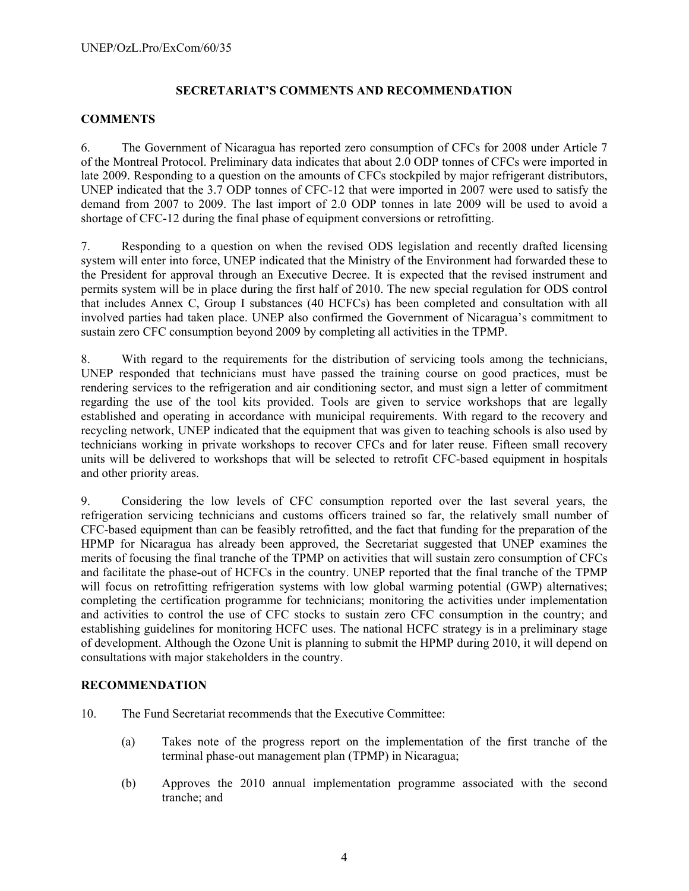# **SECRETARIAT'S COMMENTS AND RECOMMENDATION**

## **COMMENTS**

6. The Government of Nicaragua has reported zero consumption of CFCs for 2008 under Article 7 of the Montreal Protocol. Preliminary data indicates that about 2.0 ODP tonnes of CFCs were imported in late 2009. Responding to a question on the amounts of CFCs stockpiled by major refrigerant distributors, UNEP indicated that the 3.7 ODP tonnes of CFC-12 that were imported in 2007 were used to satisfy the demand from 2007 to 2009. The last import of 2.0 ODP tonnes in late 2009 will be used to avoid a shortage of CFC-12 during the final phase of equipment conversions or retrofitting.

7. Responding to a question on when the revised ODS legislation and recently drafted licensing system will enter into force, UNEP indicated that the Ministry of the Environment had forwarded these to the President for approval through an Executive Decree. It is expected that the revised instrument and permits system will be in place during the first half of 2010. The new special regulation for ODS control that includes Annex C, Group I substances (40 HCFCs) has been completed and consultation with all involved parties had taken place. UNEP also confirmed the Government of Nicaragua's commitment to sustain zero CFC consumption beyond 2009 by completing all activities in the TPMP.

8. With regard to the requirements for the distribution of servicing tools among the technicians, UNEP responded that technicians must have passed the training course on good practices, must be rendering services to the refrigeration and air conditioning sector, and must sign a letter of commitment regarding the use of the tool kits provided. Tools are given to service workshops that are legally established and operating in accordance with municipal requirements. With regard to the recovery and recycling network, UNEP indicated that the equipment that was given to teaching schools is also used by technicians working in private workshops to recover CFCs and for later reuse. Fifteen small recovery units will be delivered to workshops that will be selected to retrofit CFC-based equipment in hospitals and other priority areas.

9. Considering the low levels of CFC consumption reported over the last several years, the refrigeration servicing technicians and customs officers trained so far, the relatively small number of CFC-based equipment than can be feasibly retrofitted, and the fact that funding for the preparation of the HPMP for Nicaragua has already been approved, the Secretariat suggested that UNEP examines the merits of focusing the final tranche of the TPMP on activities that will sustain zero consumption of CFCs and facilitate the phase-out of HCFCs in the country. UNEP reported that the final tranche of the TPMP will focus on retrofitting refrigeration systems with low global warming potential (GWP) alternatives; completing the certification programme for technicians; monitoring the activities under implementation and activities to control the use of CFC stocks to sustain zero CFC consumption in the country; and establishing guidelines for monitoring HCFC uses. The national HCFC strategy is in a preliminary stage of development. Although the Ozone Unit is planning to submit the HPMP during 2010, it will depend on consultations with major stakeholders in the country.

## **RECOMMENDATION**

- 10. The Fund Secretariat recommends that the Executive Committee:
	- (a) Takes note of the progress report on the implementation of the first tranche of the terminal phase-out management plan (TPMP) in Nicaragua;
	- (b) Approves the 2010 annual implementation programme associated with the second tranche; and